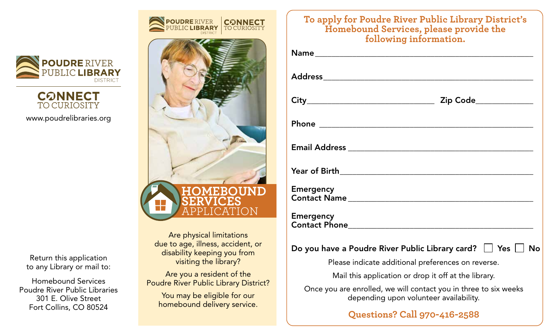

**CONNECT TO CURIOSITY** 

www.poudrelibraries.org

Return this application to any Library or mail to:

Homebound Services Poudre River Public Libraries 301 E. Olive Street Fort Collins, CO 80524



Are physical limitations due to age, illness, accident, or disability keeping you from visiting the library?

Are you a resident of the Poudre River Public Library District?

You may be eligible for our homebound delivery service.

| To apply for Poudre River Public Library District s<br>Homebound Services, please provide the<br>following information. |
|-------------------------------------------------------------------------------------------------------------------------|
|                                                                                                                         |
|                                                                                                                         |
|                                                                                                                         |
|                                                                                                                         |
|                                                                                                                         |
|                                                                                                                         |
| <b>Emergency</b>                                                                                                        |
| <b>Emergency</b>                                                                                                        |
| Do you have a Poudre River Public Library card? $\Box$ Yes $\Box$ No                                                    |
| Please indicate additional preferences on reverse.                                                                      |
| Mail this application or drop it off at the library.                                                                    |
| Once you are enrolled, we will contact you in three to six weeks<br>depending upon volunteer availability.              |
| <b>Questions? Call 970-416-2588</b>                                                                                     |

**To apply for Poudre River Public Library District's**